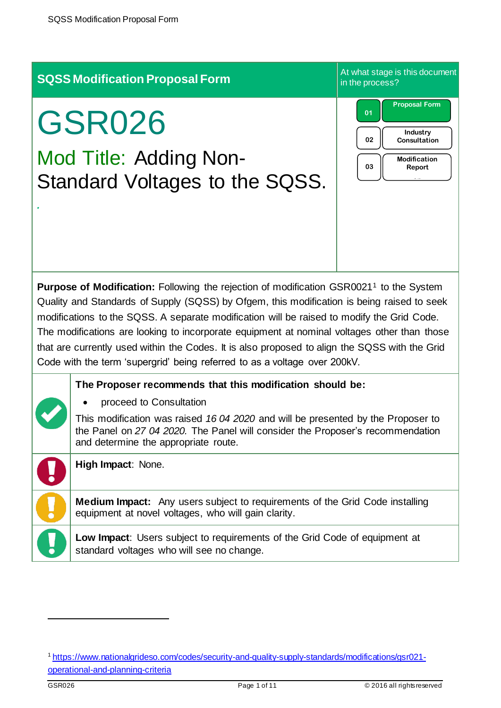| <b>SQSS Modification Proposal Form</b>                                                                                                                                                                                                                                                                                                                                                                                                                                                                                                                                              | At what stage is this document<br>in the process?                                                   |
|-------------------------------------------------------------------------------------------------------------------------------------------------------------------------------------------------------------------------------------------------------------------------------------------------------------------------------------------------------------------------------------------------------------------------------------------------------------------------------------------------------------------------------------------------------------------------------------|-----------------------------------------------------------------------------------------------------|
| <b>GSR026</b><br><b>Mod Title: Adding Non-</b><br>Standard Voltages to the SQSS.                                                                                                                                                                                                                                                                                                                                                                                                                                                                                                    | <b>Proposal Form</b><br>01<br>Industry<br>02<br>Consultation<br><b>Modification</b><br>03<br>Report |
| <b>Purpose of Modification:</b> Following the rejection of modification GSR0021 <sup>1</sup> to the System<br>Quality and Standards of Supply (SQSS) by Ofgem, this modification is being raised to seek<br>modifications to the SQSS. A separate modification will be raised to modify the Grid Code.<br>The modifications are looking to incorporate equipment at nominal voltages other than those<br>that are currently used within the Codes. It is also proposed to align the SQSS with the Grid<br>Code with the term 'supergrid' being referred to as a voltage over 200kV. |                                                                                                     |
| The Proposer recommends that this modification should be:<br>proceed to Consultation<br>This modification was raised 16 04 2020 and will be presented by the Proposer to<br>the Panel on 27 04 2020. The Panel will consider the Proposer's recommendation<br>and determine the appropriate route.<br>High Impact: None.                                                                                                                                                                                                                                                            |                                                                                                     |
| Medium Impact: Any users subject to requirements of the Grid Code installing<br>equipment at novel voltages, who will gain clarity.<br>Low Impact: Users subject to requirements of the Grid Code of equipment at<br>standard voltages who will see no change.                                                                                                                                                                                                                                                                                                                      |                                                                                                     |

-

<sup>1</sup> [https://www.nationalgrideso.com/codes/security-and-quality-supply-standards/modifications/gsr021](https://www.nationalgrideso.com/codes/security-and-quality-supply-standards/modifications/gsr021-operational-and-planning-criteria) [operational-and-planning-criteria](https://www.nationalgrideso.com/codes/security-and-quality-supply-standards/modifications/gsr021-operational-and-planning-criteria)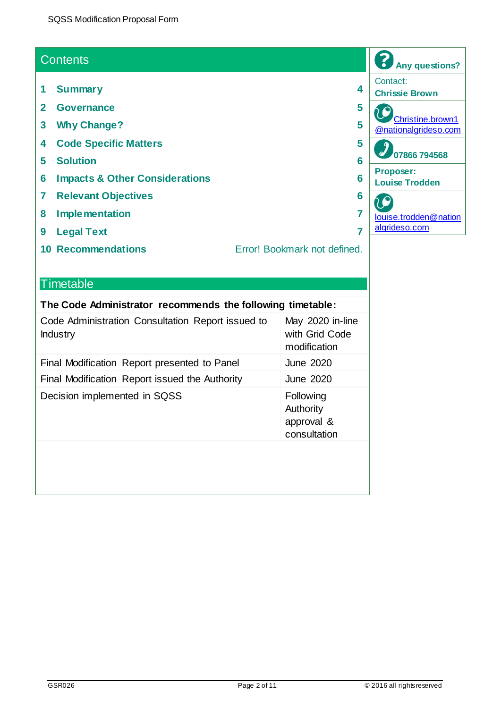# **Contents**

- **1 Summary 4**
- **2 Governance 5**
- **3 Why Change? 5**
- **4 Code Specific Matters 5**
- **5 Solution 6**
- **6 Impacts & Other Considerations 6**
- **7 Relevant Objectives 6**
- **8 Implementation 7**
- **9 Legal Text 7**
- 

# **10 Recommendations** Error! Bookmark not defined.

## **Timotoble**

| <u>I IIIIcianie</u>                                                  |                                                      |
|----------------------------------------------------------------------|------------------------------------------------------|
| The Code Administrator recommends the following timetable:           |                                                      |
| Code Administration Consultation Report issued to<br><b>Industry</b> | May 2020 in-line<br>with Grid Code<br>modification   |
| Final Modification Report presented to Panel                         | June 2020                                            |
| Final Modification Report issued the Authority                       | June 2020                                            |
| Decision implemented in SQSS                                         | Following<br>Authority<br>approval &<br>consultation |
|                                                                      |                                                      |

**Any questions?**

[Christine.brown1](mailto:Christine.brown1@nationalgrideso.com) [@nationalgrideso.com](mailto:Christine.brown1@nationalgrideso.com)

Contact:

**Chrissie Brown**

**07866 794568**

[louise.trodden@nation](mailto:louise.trodden@nationalgrideso.com)

[algrideso.com](mailto:louise.trodden@nationalgrideso.com)

**Proposer: Louise Trodden**

10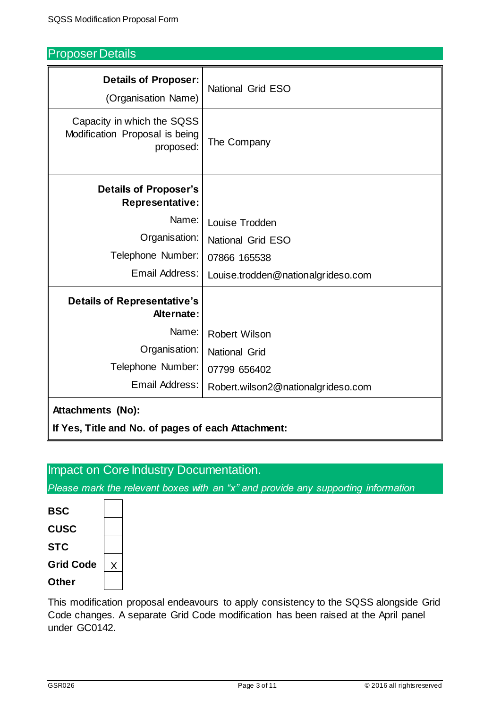### Proposer Details

| <b>Details of Proposer:</b><br>(Organisation Name)                        | National Grid ESO                  |
|---------------------------------------------------------------------------|------------------------------------|
| Capacity in which the SQSS<br>Modification Proposal is being<br>proposed: | The Company                        |
| <b>Details of Proposer's</b><br><b>Representative:</b>                    |                                    |
| Name:                                                                     | Louise Trodden                     |
| Organisation:                                                             | <b>National Grid ESO</b>           |
| Telephone Number:                                                         | 07866 165538                       |
| Email Address:                                                            | Louise.trodden@nationalgrideso.com |
| <b>Details of Representative's</b><br>Alternate:                          |                                    |
| Name:                                                                     | <b>Robert Wilson</b>               |
| Organisation:                                                             | <b>National Grid</b>               |
| Telephone Number:                                                         | 07799 656402                       |
| Email Address:                                                            | Robert.wilson2@nationalgrideso.com |
| <b>Attachments (No):</b>                                                  |                                    |
| If Yes, Title and No. of pages of each Attachment:                        |                                    |

### Impact on Core Industry Documentation.

*Please mark the relevant boxes with an "x" and provide any supporting information*



This modification proposal endeavours to apply consistency to the SQSS alongside Grid Code changes. A separate Grid Code modification has been raised at the April panel under GC0142.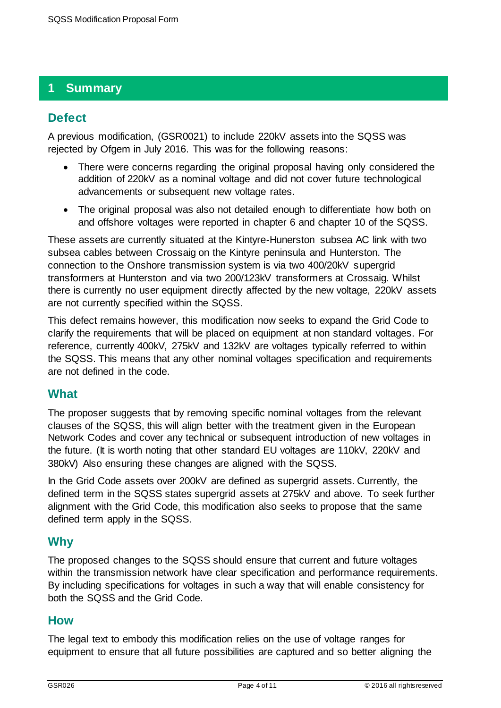# **1 Summary**

### **Defect**

A previous modification, (GSR0021) to include 220kV assets into the SQSS was rejected by Ofgem in July 2016. This was for the following reasons:

- There were concerns regarding the original proposal having only considered the addition of 220kV as a nominal voltage and did not cover future technological advancements or subsequent new voltage rates.
- The original proposal was also not detailed enough to differentiate how both on and offshore voltages were reported in chapter 6 and chapter 10 of the SQSS.

These assets are currently situated at the Kintyre-Hunerston subsea AC link with two subsea cables between Crossaig on the Kintyre peninsula and Hunterston. The connection to the Onshore transmission system is via two 400/20kV supergrid transformers at Hunterston and via two 200/123kV transformers at Crossaig. Whilst there is currently no user equipment directly affected by the new voltage, 220kV assets are not currently specified within the SQSS.

This defect remains however, this modification now seeks to expand the Grid Code to clarify the requirements that will be placed on equipment at non standard voltages. For reference, currently 400kV, 275kV and 132kV are voltages typically referred to within the SQSS. This means that any other nominal voltages specification and requirements are not defined in the code.

#### **What**

The proposer suggests that by removing specific nominal voltages from the relevant clauses of the SQSS, this will align better with the treatment given in the European Network Codes and cover any technical or subsequent introduction of new voltages in the future. (It is worth noting that other standard EU voltages are 110kV, 220kV and 380kV) Also ensuring these changes are aligned with the SQSS.

In the Grid Code assets over 200kV are defined as supergrid assets. Currently, the defined term in the SQSS states supergrid assets at 275kV and above. To seek further alignment with the Grid Code, this modification also seeks to propose that the same defined term apply in the SQSS.

#### **Why**

The proposed changes to the SQSS should ensure that current and future voltages within the transmission network have clear specification and performance requirements. By including specifications for voltages in such a way that will enable consistency for both the SQSS and the Grid Code.

#### **How**

The legal text to embody this modification relies on the use of voltage ranges for equipment to ensure that all future possibilities are captured and so better aligning the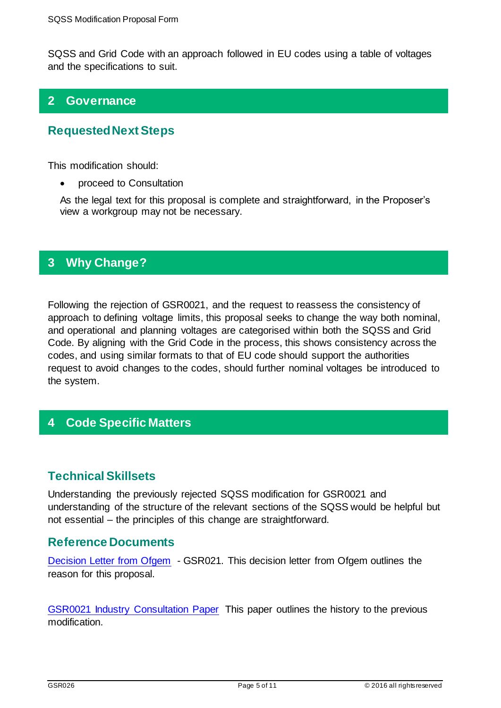SQSS and Grid Code with an approach followed in EU codes using a table of voltages and the specifications to suit.

#### **2 Governance**

#### **Requested Next Steps**

This modification should:

• proceed to Consultation

As the legal text for this proposal is complete and straightforward, in the Proposer's view a workgroup may not be necessary.

#### **3 Why Change?**

Following the rejection of GSR0021, and the request to reassess the consistency of approach to defining voltage limits, this proposal seeks to change the way both nominal, and operational and planning voltages are categorised within both the SQSS and Grid Code. By aligning with the Grid Code in the process, this shows consistency across the codes, and using similar formats to that of EU code should support the authorities request to avoid changes to the codes, should further nominal voltages be introduced to the system.

#### **4 Code Specific Matters**

### **Technical Skillsets**

Understanding the previously rejected SQSS modification for GSR0021 and understanding of the structure of the relevant sections of the SQSS would be helpful but not essential – the principles of this change are straightforward.

#### **Reference Documents**

[Decision Letter from Ofgem](https://www.nationalgrideso.com/document/15301/download) - GSR021. This decision letter from Ofgem outlines the reason for this proposal.

[GSR0021 Industry Consultation Paper](https://www.nationalgrideso.com/document/15316/download) This paper outlines the history to the previous modification.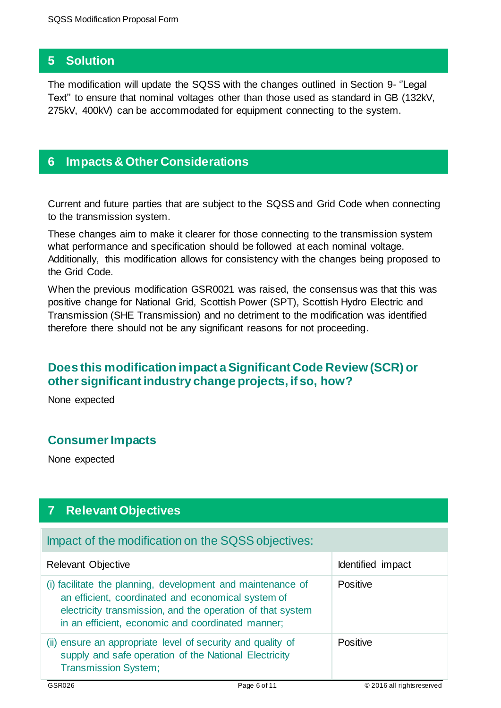#### **5 Solution**

The modification will update the SQSS with the changes outlined in Section 9- ''Legal Text'' to ensure that nominal voltages other than those used as standard in GB (132kV, 275kV, 400kV) can be accommodated for equipment connecting to the system.

### **6 Impacts & Other Considerations**

Current and future parties that are subject to the SQSS and Grid Code when connecting to the transmission system.

These changes aim to make it clearer for those connecting to the transmission system what performance and specification should be followed at each nominal voltage. Additionally, this modification allows for consistency with the changes being proposed to the Grid Code.

When the previous modification GSR0021 was raised, the consensus was that this was positive change for National Grid, Scottish Power (SPT), Scottish Hydro Electric and Transmission (SHE Transmission) and no detriment to the modification was identified therefore there should not be any significant reasons for not proceeding.

### **Does this modification impact a Significant Code Review (SCR) or other significant industry change projects, if so, how?**

None expected

### **Consumer Impacts**

None expected

# **7 Relevant Objectives**

#### Impact of the modification on the SQSS objectives:

| <b>Relevant Objective</b>                                                                                                                                              |                                                            | Identified impact          |
|------------------------------------------------------------------------------------------------------------------------------------------------------------------------|------------------------------------------------------------|----------------------------|
| (i) facilitate the planning, development and maintenance of<br>an efficient, coordinated and economical system of<br>in an efficient, economic and coordinated manner; | electricity transmission, and the operation of that system | <b>Positive</b>            |
| (ii) ensure an appropriate level of security and quality of<br>supply and safe operation of the National Electricity<br><b>Transmission System;</b>                    |                                                            | <b>Positive</b>            |
| GSR026                                                                                                                                                                 | Page 6 of 11                                               | © 2016 all rights reserved |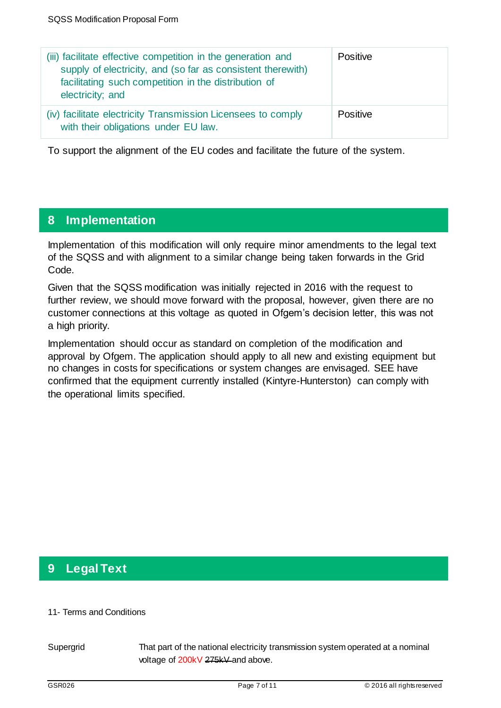| (iii) facilitate effective competition in the generation and<br>supply of electricity, and (so far as consistent therewith)<br>facilitating such competition in the distribution of<br>electricity; and | Positive |
|---------------------------------------------------------------------------------------------------------------------------------------------------------------------------------------------------------|----------|
| (iv) facilitate electricity Transmission Licensees to comply<br>with their obligations under EU law.                                                                                                    | Positive |

To support the alignment of the EU codes and facilitate the future of the system.

### **8 Implementation**

Implementation of this modification will only require minor amendments to the legal text of the SQSS and with alignment to a similar change being taken forwards in the Grid Code.

Given that the SQSS modification was initially rejected in 2016 with the request to further review, we should move forward with the proposal, however, given there are no customer connections at this voltage as quoted in Ofgem's decision letter, this was not a high priority.

Implementation should occur as standard on completion of the modification and approval by Ofgem. The application should apply to all new and existing equipment but no changes in costs for specifications or system changes are envisaged. SEE have confirmed that the equipment currently installed (Kintyre-Hunterston) can comply with the operational limits specified.

# **9 Legal Text**

#### 11- Terms and Conditions

Supergrid That part of the national electricity transmission system operated at a nominal voltage of 200kV 275kV and above.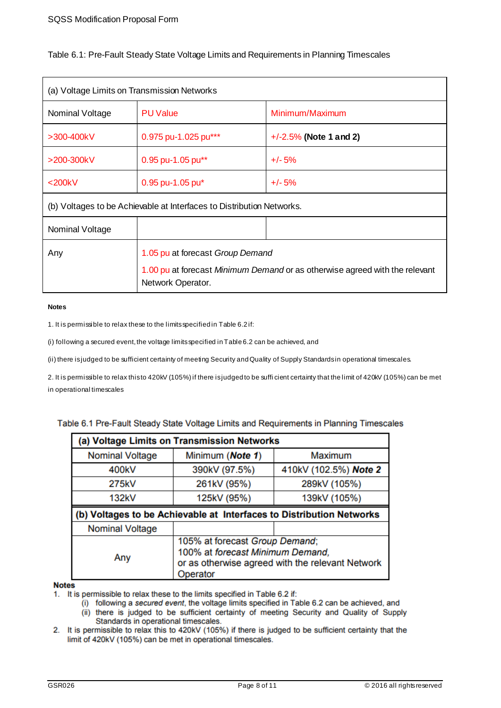Table 6.1: Pre-Fault Steady State Voltage Limits and Requirements in Planning Timescales

| (a) Voltage Limits on Transmission Networks |                                                                                                                                      |                           |  |
|---------------------------------------------|--------------------------------------------------------------------------------------------------------------------------------------|---------------------------|--|
| Nominal Voltage                             | <b>PU</b> Value                                                                                                                      | Minimum/Maximum           |  |
| >300-400kV                                  | 0.975 pu-1.025 pu***                                                                                                                 | $+/-2.5\%$ (Note 1 and 2) |  |
| >200-300kV                                  | 0.95 pu-1.05 pu**                                                                                                                    | $+/- 5%$                  |  |
| $<$ 200 $kV$                                | 0.95 pu-1.05 pu*                                                                                                                     | $+/- 5%$                  |  |
|                                             | (b) Voltages to be Achievable at Interfaces to Distribution Networks.                                                                |                           |  |
| Nominal Voltage                             |                                                                                                                                      |                           |  |
| Any                                         | 1.05 pu at forecast Group Demand<br>1.00 pu at forecast Minimum Demand or as otherwise agreed with the relevant<br>Network Operator. |                           |  |

#### **Notes**

1. It is permissible to relax these to the limits specified in Table 6.2 if:

(i) following a secured event, the voltage limits specified in Table 6.2 can be achieved, and

(ii) there is judged to be sufficient certainty of meeting Security and Quality of Supply Standards in operational timescales.

2. It is permissible to relax this to 420kV (105%) if there is judged to be suffi cient certainty that the limit of 420kV (105%) can be met in operational timescales

| Table 6.1 Pre-Fault Steady State Voltage Limits and Requirements in Planning Timescales |
|-----------------------------------------------------------------------------------------|
|-----------------------------------------------------------------------------------------|

|                        | (a) Voltage Limits on Transmission Networks                                                                                        |                                                                      |
|------------------------|------------------------------------------------------------------------------------------------------------------------------------|----------------------------------------------------------------------|
| <b>Nominal Voltage</b> | Minimum (Note 1)                                                                                                                   | <b>Maximum</b>                                                       |
| 400kV                  | 390kV (97.5%)                                                                                                                      | 410kV (102.5%) Note 2                                                |
| 275kV                  | 261kV (95%)                                                                                                                        | 289kV (105%)                                                         |
| 132kV                  | 125kV (95%)                                                                                                                        | 139kV (105%)                                                         |
|                        |                                                                                                                                    | (b) Voltages to be Achievable at Interfaces to Distribution Networks |
| <b>Nominal Voltage</b> |                                                                                                                                    |                                                                      |
| Any                    | 105% at forecast Group Demand;<br>100% at forecast Minimum Demand,<br>or as otherwise agreed with the relevant Network<br>Operator |                                                                      |

#### **Notes**

- 1. It is permissible to relax these to the limits specified in Table 6.2 if:
	- (i) following a secured event, the voltage limits specified in Table 6.2 can be achieved, and
	- (ii) there is judged to be sufficient certainty of meeting Security and Quality of Supply Standards in operational timescales.
- 2. It is permissible to relax this to 420kV (105%) if there is judged to be sufficient certainty that the limit of 420kV (105%) can be met in operational timescales.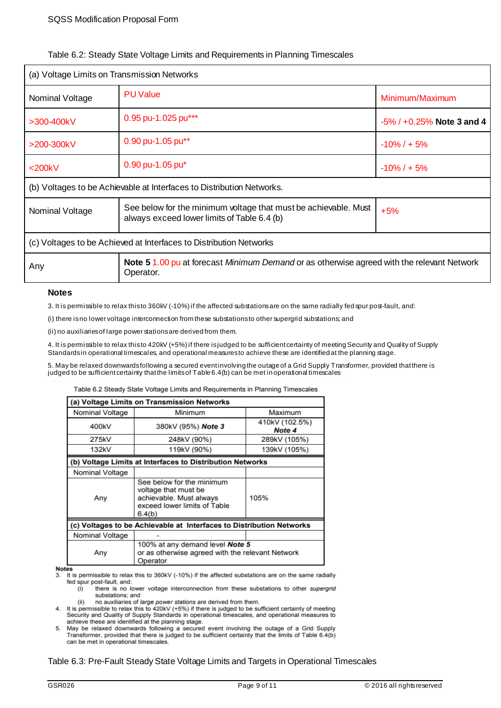#### Table 6.2: Steady State Voltage Limits and Requirements in Planning Timescales

| (a) Voltage Limits on Transmission Networks                                                                    |                                                                                                                |                                 |
|----------------------------------------------------------------------------------------------------------------|----------------------------------------------------------------------------------------------------------------|---------------------------------|
| Nominal Voltage                                                                                                | <b>PU</b> Value                                                                                                | Minimum/Maximum                 |
| $>300-400kV$                                                                                                   | 0.95 pu-1.025 pu***                                                                                            | $-5\%$ / $+0.25\%$ Note 3 and 4 |
| >200-300kV                                                                                                     | 0.90 pu-1.05 pu**                                                                                              | $-10\% / + 5\%$                 |
| $<$ 200 $kV$                                                                                                   | 0.90 pu-1.05 pu*                                                                                               | $-10\%$ / + 5%                  |
|                                                                                                                | (b) Voltages to be Achievable at Interfaces to Distribution Networks.                                          |                                 |
| Nominal Voltage                                                                                                | See below for the minimum voltage that must be achievable. Must<br>always exceed lower limits of Table 6.4 (b) | $+5%$                           |
| (c) Voltages to be Achieved at Interfaces to Distribution Networks                                             |                                                                                                                |                                 |
| Note 5 1.00 pu at forecast Minimum Demand or as otherwise agreed with the relevant Network<br>Any<br>Operator. |                                                                                                                |                                 |

#### **Notes**

3. It is permissible to relax this to 360kV (-10%) if the affected substations are on the same radially fed spur post-fault, and:

(i) there is no lower voltage interconnection from these substations to other supergrid substations; and

(ii) no auxiliaries of large power stations are derived from them.

4. It is permissible to relax this to 420kV (+5%) if there is judged to be sufficient certainty of meeting Security and Quality of Supply Standards in operational timescales, and operational measures to achieve these are identified at the planning stage.

5. May be relaxed downwards following a secured event involving the outage of a Grid Supply Transformer, provided that there is judged to be sufficient certainty that the limits of Table 6.4(b) can be met in operational timescales

Table 6.2 Steady State Voltage Limits and Requirements in Planning Timescales

| (a) Voltage Limits on Transmission Networks                          |                                                                                                                        |                          |  |
|----------------------------------------------------------------------|------------------------------------------------------------------------------------------------------------------------|--------------------------|--|
| <b>Nominal Voltage</b>                                               | Minimum                                                                                                                | Maximum                  |  |
| 400 <sub>k</sub> V                                                   | 380kV (95%) Note 3                                                                                                     | 410kV (102.5%)<br>Note 4 |  |
| 275kV                                                                | 248kV (90%)                                                                                                            | 289kV (105%)             |  |
| 132kV                                                                | 119kV (90%)                                                                                                            | 139kV (105%)             |  |
|                                                                      | (b) Voltage Limits at Interfaces to Distribution Networks                                                              |                          |  |
| <b>Nominal Voltage</b>                                               |                                                                                                                        |                          |  |
| Any                                                                  | See below for the minimum<br>voltage that must be<br>achievable. Must always<br>exceed lower limits of Table<br>6.4(b) | 105%                     |  |
| (c) Voltages to be Achievable at Interfaces to Distribution Networks |                                                                                                                        |                          |  |
| <b>Nominal Voltage</b>                                               |                                                                                                                        |                          |  |
| Any                                                                  | 100% at any demand level <b>Note 5</b><br>or as otherwise agreed with the relevant Network<br>Operator                 |                          |  |

**Notes** 

 $\overline{\mathbf{3}}$ It is permissible to relax this to 360kV (-10%) if the affected substations are on the same radially fed spur post-fault, and:

there is no lower voltage interconnection from these substations to other supergrid  $(i)$ substations; and

 $(ii)$ no auxiliaries of large power stations are derived from them.

4. It is permissible to relax this to 420kV (+5%) if there is judged to be sufficient certainty of meeting Security and Quality of Supply Standards in operational timescales, and operational measures to<br>achieve these are identified at the planning stage.

May be relaxed downwards following a secured event involving the outage of a Grid Supply 5. Transformer, provided that there is judged to be sufficient certainty that the limits of Table 6.4(b) can be met in operational timescales

Table 6.3: Pre-Fault Steady State Voltage Limits and Targets in Operational Timescales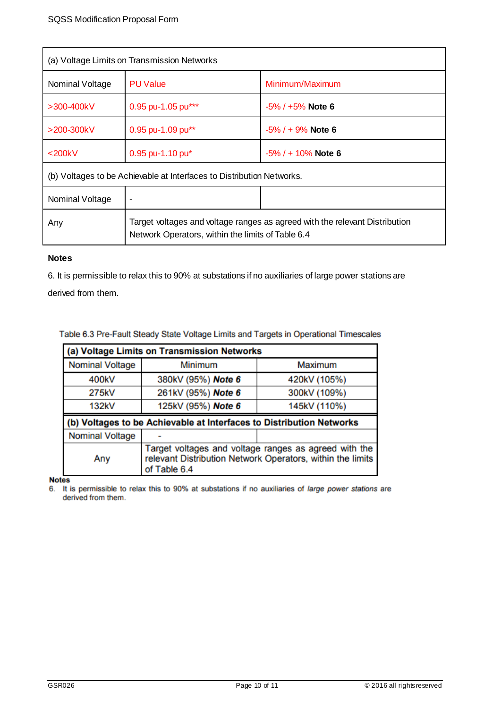| (a) Voltage Limits on Transmission Networks                           |                                                                                                                                  |                        |  |
|-----------------------------------------------------------------------|----------------------------------------------------------------------------------------------------------------------------------|------------------------|--|
| Nominal Voltage                                                       | <b>PU</b> Value                                                                                                                  | Minimum/Maximum        |  |
| $>$ 300-400 $kV$                                                      | 0.95 pu-1.05 pu***                                                                                                               | $-5\%$ / $+5\%$ Note 6 |  |
| $>$ 200-300 $kV$                                                      | $-5\%$ / + 9% Note 6<br>$0.95$ pu-1.09 pu**                                                                                      |                        |  |
| $<$ 200 $kV$                                                          | $-5\%$ / + 10% Note 6<br>0.95 pu-1.10 pu*                                                                                        |                        |  |
| (b) Voltages to be Achievable at Interfaces to Distribution Networks. |                                                                                                                                  |                        |  |
| Nominal Voltage                                                       | $\blacksquare$                                                                                                                   |                        |  |
| Any                                                                   | Target voltages and voltage ranges as agreed with the relevant Distribution<br>Network Operators, within the limits of Table 6.4 |                        |  |

#### **Notes**

6. It is permissible to relax this to 90% at substations if no auxiliaries of large power stations are

derived from them.

| (a) Voltage Limits on Transmission Networks |                                                                      |              |
|---------------------------------------------|----------------------------------------------------------------------|--------------|
| <b>Nominal Voltage</b>                      | Minimum                                                              | Maximum      |
| 400kV                                       | 380kV (95%) Note 6                                                   | 420kV (105%) |
| 275kV                                       | 261kV (95%) Note 6                                                   | 300kV (109%) |
| 132kV                                       | 125kV (95%) Note 6                                                   | 145kV (110%) |
|                                             |                                                                      |              |
|                                             | (b) Voltages to be Achievable at Interfaces to Distribution Networks |              |
| <b>Nominal Voltage</b>                      |                                                                      |              |

Table 6.3 Pre-Fault Steady State Voltage Limits and Targets in Operational Timescales

**Notes** 

6. It is permissible to relax this to 90% at substations if no auxiliaries of large power stations are derived from them.